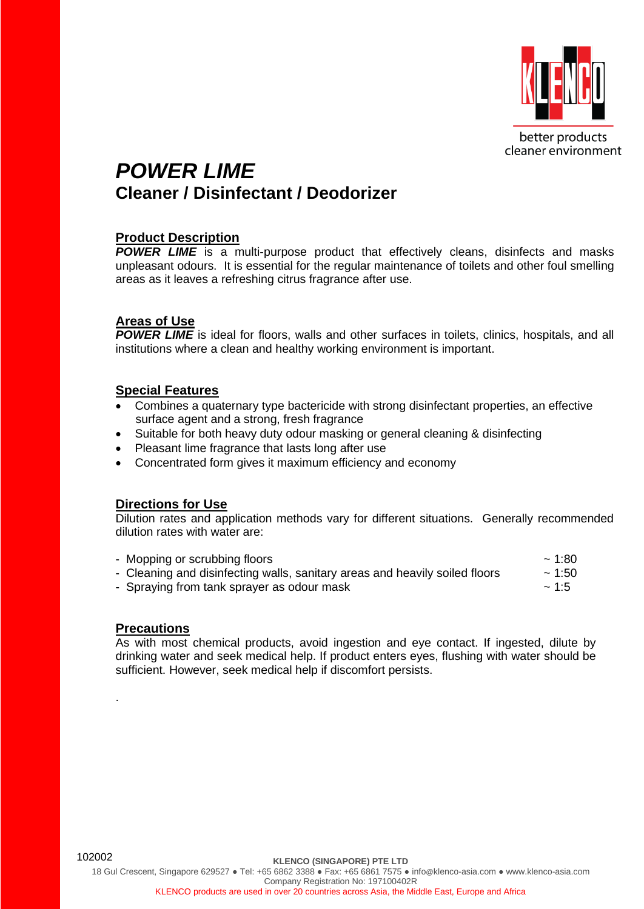

## *POWER LIME* **Cleaner / Disinfectant / Deodorizer**

### **Product Description**

**POWER LIME** is a multi-purpose product that effectively cleans, disinfects and masks unpleasant odours. It is essential for the regular maintenance of toilets and other foul smelling areas as it leaves a refreshing citrus fragrance after use.

### **Areas of Use**

**POWER LIME** is ideal for floors, walls and other surfaces in toilets, clinics, hospitals, and all institutions where a clean and healthy working environment is important.

### **Special Features**

- Combines a quaternary type bactericide with strong disinfectant properties, an effective surface agent and a strong, fresh fragrance
- Suitable for both heavy duty odour masking or general cleaning & disinfecting
- Pleasant lime fragrance that lasts long after use
- Concentrated form gives it maximum efficiency and economy

### **Directions for Use**

Dilution rates and application methods vary for different situations. Generally recommended dilution rates with water are:

| - Mopping or scrubbing floors                                               | $\sim$ 1:80 |
|-----------------------------------------------------------------------------|-------------|
| - Cleaning and disinfecting walls, sanitary areas and heavily soiled floors | ~1.50       |
| - Spraying from tank sprayer as odour mask                                  | $\sim$ 1:5  |

### **Precautions**

.

As with most chemical products, avoid ingestion and eye contact. If ingested, dilute by drinking water and seek medical help. If product enters eyes, flushing with water should be sufficient. However, seek medical help if discomfort persists.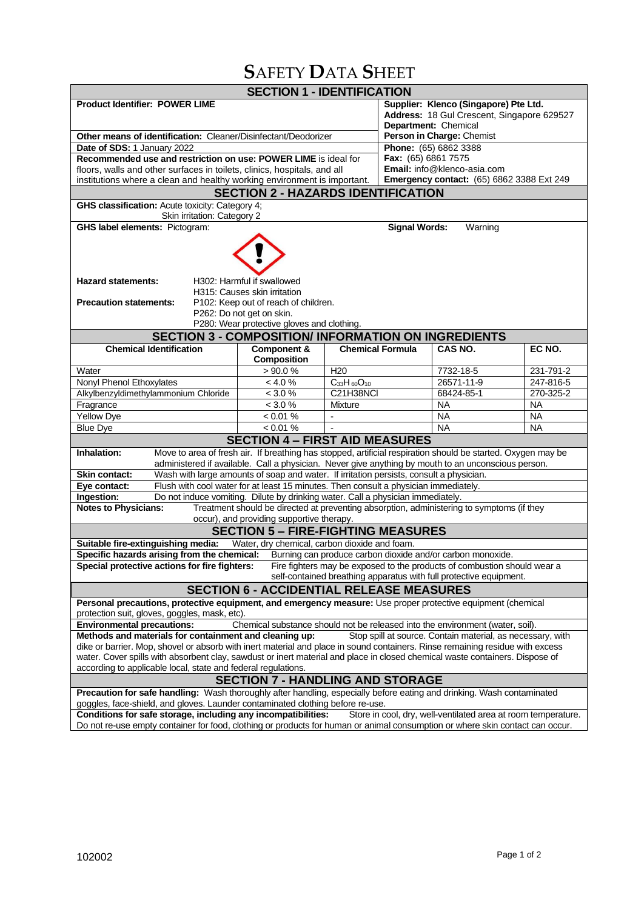# **S**AFETY **D**ATA **S**HEET

| <b>SECTION 1 - IDENTIFICATION</b>                                                                                                                                                                                                          |                                                                                           |                      |                                            |                                                                          |           |  |  |  |  |
|--------------------------------------------------------------------------------------------------------------------------------------------------------------------------------------------------------------------------------------------|-------------------------------------------------------------------------------------------|----------------------|--------------------------------------------|--------------------------------------------------------------------------|-----------|--|--|--|--|
| <b>Product Identifier: POWER LIME</b>                                                                                                                                                                                                      |                                                                                           |                      | Supplier: Klenco (Singapore) Pte Ltd.      |                                                                          |           |  |  |  |  |
|                                                                                                                                                                                                                                            |                                                                                           |                      | Address: 18 Gul Crescent, Singapore 629527 |                                                                          |           |  |  |  |  |
|                                                                                                                                                                                                                                            |                                                                                           |                      |                                            | Department: Chemical                                                     |           |  |  |  |  |
| Other means of identification: Cleaner/Disinfectant/Deodorizer                                                                                                                                                                             |                                                                                           |                      |                                            | Person in Charge: Chemist                                                |           |  |  |  |  |
| Date of SDS: 1 January 2022                                                                                                                                                                                                                | Phone: (65) 6862 3388                                                                     |                      |                                            |                                                                          |           |  |  |  |  |
| Recommended use and restriction on use: POWER LIME is ideal for                                                                                                                                                                            | Fax: (65) 6861 7575<br>Email: info@klenco-asia.com                                        |                      |                                            |                                                                          |           |  |  |  |  |
| floors, walls and other surfaces in toilets, clinics, hospitals, and all                                                                                                                                                                   | <b>Emergency contact:</b> (65) 6862 3388 Ext 249                                          |                      |                                            |                                                                          |           |  |  |  |  |
| institutions where a clean and healthy working environment is important.                                                                                                                                                                   |                                                                                           |                      |                                            |                                                                          |           |  |  |  |  |
| <b>SECTION 2 - HAZARDS IDENTIFICATION</b>                                                                                                                                                                                                  |                                                                                           |                      |                                            |                                                                          |           |  |  |  |  |
| GHS classification: Acute toxicity: Category 4;<br>Skin irritation: Category 2                                                                                                                                                             |                                                                                           |                      |                                            |                                                                          |           |  |  |  |  |
| <b>GHS label elements: Pictogram:</b>                                                                                                                                                                                                      |                                                                                           |                      | <b>Signal Words:</b>                       | Warning                                                                  |           |  |  |  |  |
|                                                                                                                                                                                                                                            |                                                                                           |                      |                                            |                                                                          |           |  |  |  |  |
| <b>Hazard statements:</b>                                                                                                                                                                                                                  | H302: Harmful if swallowed                                                                |                      |                                            |                                                                          |           |  |  |  |  |
| <b>Precaution statements:</b>                                                                                                                                                                                                              | H315: Causes skin irritation<br>P102: Keep out of reach of children.                      |                      |                                            |                                                                          |           |  |  |  |  |
|                                                                                                                                                                                                                                            |                                                                                           |                      |                                            |                                                                          |           |  |  |  |  |
| P262: Do not get on skin.<br>P280: Wear protective gloves and clothing.                                                                                                                                                                    |                                                                                           |                      |                                            |                                                                          |           |  |  |  |  |
|                                                                                                                                                                                                                                            | <b>SECTION 3 - COMPOSITION/ INFORMATION ON INGREDIENTS</b>                                |                      |                                            |                                                                          |           |  |  |  |  |
| <b>Chemical Identification</b>                                                                                                                                                                                                             | Component &                                                                               |                      | <b>Chemical Formula</b>                    | CAS NO.                                                                  | EC NO.    |  |  |  |  |
|                                                                                                                                                                                                                                            | <b>Composition</b>                                                                        |                      |                                            |                                                                          |           |  |  |  |  |
| Water                                                                                                                                                                                                                                      | >90.0%                                                                                    | H <sub>20</sub>      |                                            | 7732-18-5                                                                | 231-791-2 |  |  |  |  |
| Nonyl Phenol Ethoxylates                                                                                                                                                                                                                   | < 4.0 %                                                                                   | $C_{33}H_{60}O_{10}$ |                                            | 26571-11-9                                                               | 247-816-5 |  |  |  |  |
| Alkylbenzyldimethylammonium Chloride                                                                                                                                                                                                       | < 3.0 %                                                                                   | C21H38NCI            |                                            | 68424-85-1                                                               | 270-325-2 |  |  |  |  |
| Fragrance                                                                                                                                                                                                                                  | < 3.0 %                                                                                   | Mixture              |                                            | <b>NA</b>                                                                | <b>NA</b> |  |  |  |  |
| Yellow Dye                                                                                                                                                                                                                                 | < 0.01 %                                                                                  | L,                   |                                            | <b>NA</b>                                                                | <b>NA</b> |  |  |  |  |
| <b>Blue Dye</b>                                                                                                                                                                                                                            | $< 0.01 \%$                                                                               |                      |                                            | <b>NA</b>                                                                | <b>NA</b> |  |  |  |  |
|                                                                                                                                                                                                                                            | <b>SECTION 4 - FIRST AID MEASURES</b>                                                     |                      |                                            |                                                                          |           |  |  |  |  |
| Move to area of fresh air. If breathing has stopped, artificial respiration should be started. Oxygen may be<br>Inhalation:<br>administered if available. Call a physician. Never give anything by mouth to an unconscious person.         |                                                                                           |                      |                                            |                                                                          |           |  |  |  |  |
| <b>Skin contact:</b>                                                                                                                                                                                                                       | Wash with large amounts of soap and water. If irritation persists, consult a physician.   |                      |                                            |                                                                          |           |  |  |  |  |
| Eye contact:                                                                                                                                                                                                                               | Flush with cool water for at least 15 minutes. Then consult a physician immediately.      |                      |                                            |                                                                          |           |  |  |  |  |
| Do not induce vomiting. Dilute by drinking water. Call a physician immediately.<br>Ingestion:                                                                                                                                              |                                                                                           |                      |                                            |                                                                          |           |  |  |  |  |
| <b>Notes to Physicians:</b>                                                                                                                                                                                                                | Treatment should be directed at preventing absorption, administering to symptoms (if they |                      |                                            |                                                                          |           |  |  |  |  |
|                                                                                                                                                                                                                                            | occur), and providing supportive therapy.                                                 |                      |                                            |                                                                          |           |  |  |  |  |
|                                                                                                                                                                                                                                            | <b>SECTION 5 - FIRE-FIGHTING MEASURES</b>                                                 |                      |                                            |                                                                          |           |  |  |  |  |
| Suitable fire-extinguishing media:                                                                                                                                                                                                         | Water, dry chemical, carbon dioxide and foam.                                             |                      |                                            |                                                                          |           |  |  |  |  |
| Specific hazards arising from the chemical:<br>Burning can produce carbon dioxide and/or carbon monoxide.                                                                                                                                  |                                                                                           |                      |                                            |                                                                          |           |  |  |  |  |
| Special protective actions for fire fighters:                                                                                                                                                                                              |                                                                                           |                      |                                            | Fire fighters may be exposed to the products of combustion should wear a |           |  |  |  |  |
|                                                                                                                                                                                                                                            |                                                                                           |                      |                                            | self-contained breathing apparatus with full protective equipment.       |           |  |  |  |  |
| <b>SECTION 6 - ACCIDENTIAL RELEASE MEASURES</b>                                                                                                                                                                                            |                                                                                           |                      |                                            |                                                                          |           |  |  |  |  |
| Personal precautions, protective equipment, and emergency measure: Use proper protective equipment (chemical                                                                                                                               |                                                                                           |                      |                                            |                                                                          |           |  |  |  |  |
| protection suit, gloves, goggles, mask, etc)                                                                                                                                                                                               |                                                                                           |                      |                                            |                                                                          |           |  |  |  |  |
| Chemical substance should not be released into the environment (water, soil).<br><b>Environmental precautions:</b><br>Methods and materials for containment and cleaning up:<br>Stop spill at source. Contain material, as necessary, with |                                                                                           |                      |                                            |                                                                          |           |  |  |  |  |
| dike or barrier. Mop, shovel or absorb with inert material and place in sound containers. Rinse remaining residue with excess                                                                                                              |                                                                                           |                      |                                            |                                                                          |           |  |  |  |  |
| water. Cover spills with absorbent clay, sawdust or inert material and place in closed chemical waste containers. Dispose of                                                                                                               |                                                                                           |                      |                                            |                                                                          |           |  |  |  |  |
| according to applicable local, state and federal regulations.                                                                                                                                                                              |                                                                                           |                      |                                            |                                                                          |           |  |  |  |  |
| <b>SECTION 7 - HANDLING AND STORAGE</b>                                                                                                                                                                                                    |                                                                                           |                      |                                            |                                                                          |           |  |  |  |  |
| Precaution for safe handling: Wash thoroughly after handling, especially before eating and drinking. Wash contaminated                                                                                                                     |                                                                                           |                      |                                            |                                                                          |           |  |  |  |  |
| goggles, face-shield, and gloves. Launder contaminated clothing before re-use.                                                                                                                                                             |                                                                                           |                      |                                            |                                                                          |           |  |  |  |  |
| Store in cool, dry, well-ventilated area at room temperature.<br>Conditions for safe storage, including any incompatibilities:                                                                                                             |                                                                                           |                      |                                            |                                                                          |           |  |  |  |  |
| Do not re-use empty container for food, clothing or products for human or animal consumption or where skin contact can occur.                                                                                                              |                                                                                           |                      |                                            |                                                                          |           |  |  |  |  |